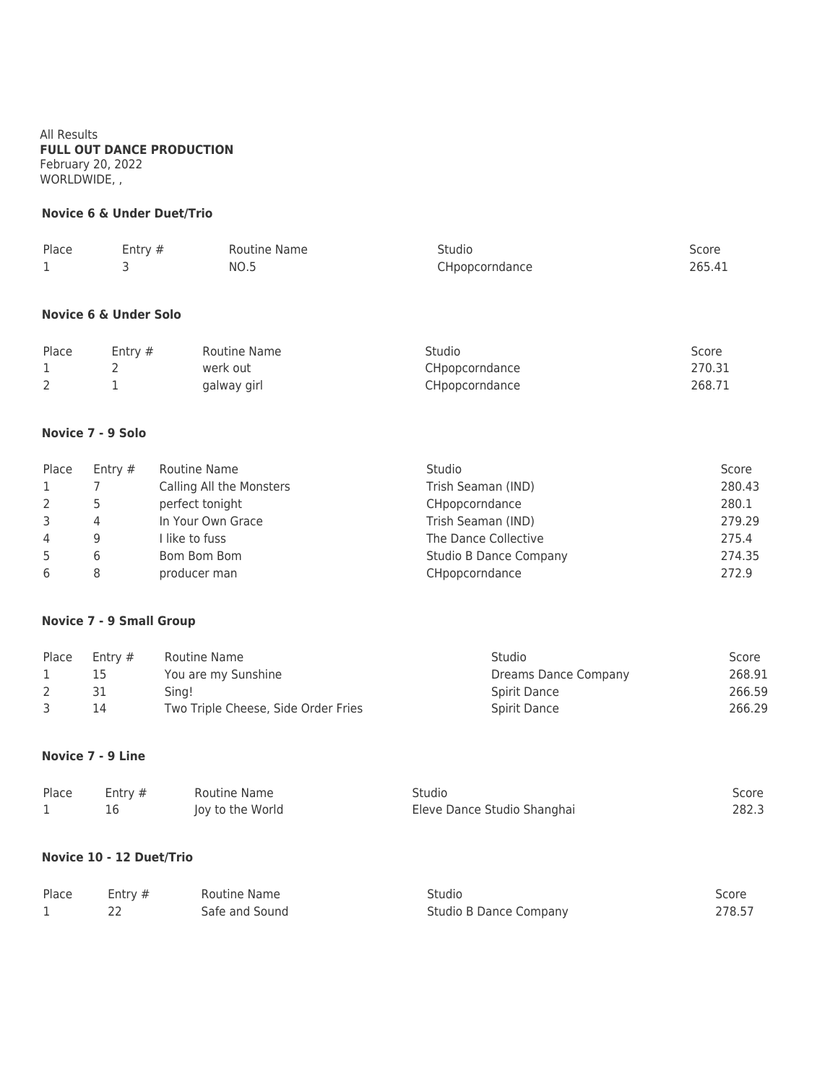All Results **FULL OUT DANCE PRODUCTION** February 20, 2022 WORLDWIDE, ,

## **Novice 6 & Under Duet/Trio**

| Place | Entry $#$ | Routine Name | Studio         | Score  |
|-------|-----------|--------------|----------------|--------|
|       |           | <b>NO.5</b>  | CHpopcorndance | 265.41 |

#### **Novice 6 & Under Solo**

| Place | Entry $#$ | Routine Name | Studio         | Score  |
|-------|-----------|--------------|----------------|--------|
|       |           | werk out     | CHpopcorndance | 270.31 |
|       |           | galway girl  | CHpopcorndance | 268.71 |

## **Novice 7 - 9 Solo**

| Place        | Entry $#$ | Routine Name             | Studio                        | Score  |
|--------------|-----------|--------------------------|-------------------------------|--------|
| $\mathbf{1}$ |           | Calling All the Monsters | Trish Seaman (IND)            | 280.43 |
|              |           | perfect tonight          | CHpopcorndance                | 280.1  |
| 3            | 4         | In Your Own Grace        | Trish Seaman (IND)            | 279.29 |
| 4            | Q         | I like to fuss           | The Dance Collective          | 275.4  |
| 5            |           | Bom Bom Bom              | <b>Studio B Dance Company</b> | 274.35 |
| 6            |           | producer man             | CHpopcorndance                | 272.9  |

## **Novice 7 - 9 Small Group**

| Place | Entry $#$ | Routine Name                        | <b>Studio</b>        | Score  |
|-------|-----------|-------------------------------------|----------------------|--------|
|       |           | You are my Sunshine                 | Dreams Dance Company | 268.91 |
|       |           | Sing!                               | Spirit Dance         | 266.59 |
|       | 14        | Two Triple Cheese, Side Order Fries | Spirit Dance         | 266.29 |

#### **Novice 7 - 9 Line**

| Place | Entry $#$ | Routine Name     | Studio                      | Score |
|-------|-----------|------------------|-----------------------------|-------|
|       |           | Joy to the World | Eleve Dance Studio Shanghai | 282.3 |

## **Novice 10 - 12 Duet/Trio**

| Place | Entry $#$ | Routine Name   | Studio                 | Score  |
|-------|-----------|----------------|------------------------|--------|
|       |           | Safe and Sound | Studio B Dance Company | 278.57 |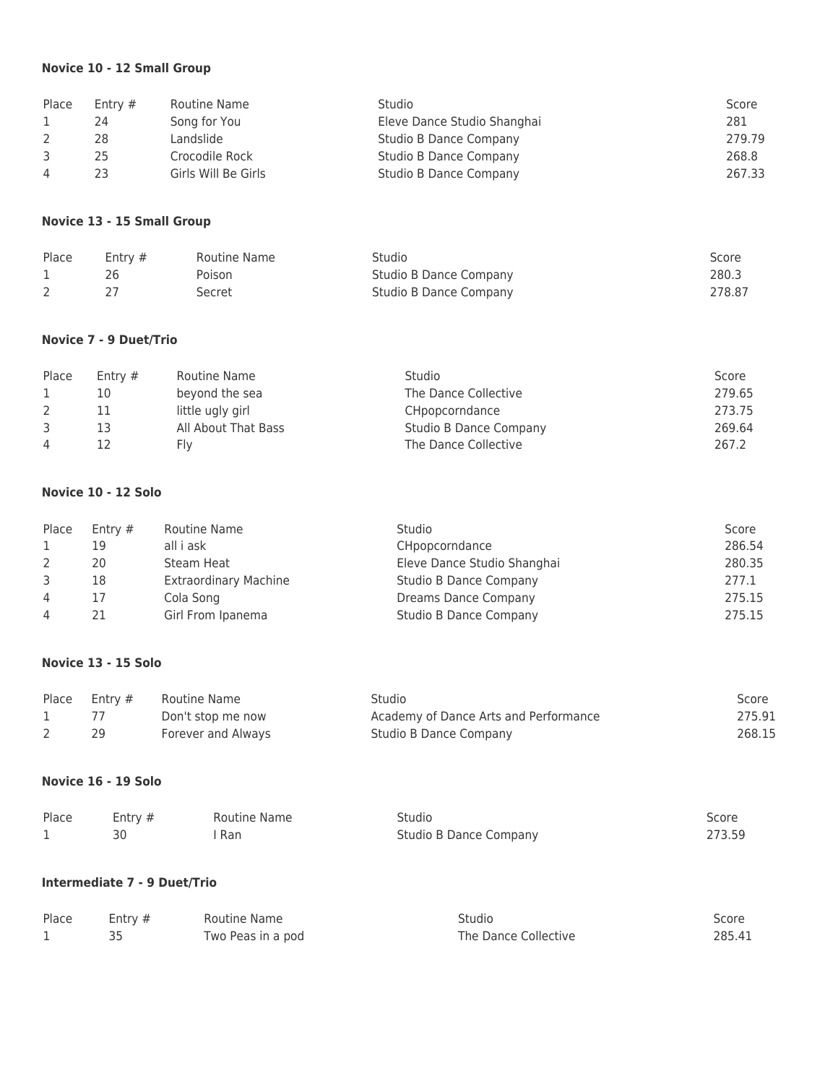## **Novice 10 - 12 Small Group**

| Place          | Entry $#$ | Routine Name        | Studio                      | Score  |
|----------------|-----------|---------------------|-----------------------------|--------|
|                | 24        | Song for You        | Eleve Dance Studio Shanghai | 281    |
|                | 28        | Landslide           | Studio B Dance Company      | 279.79 |
|                | 25        | Crocodile Rock      | Studio B Dance Company      | 268.8  |
| $\overline{4}$ | 23        | Girls Will Be Girls | Studio B Dance Company      | 267.33 |

### **Novice 13 - 15 Small Group**

| Place | Entry $#$ | Routine Name | Studio                 | Score  |
|-------|-----------|--------------|------------------------|--------|
|       |           | Poison       | Studio B Dance Company | 280.3  |
|       |           | Secret       | Studio B Dance Company | 278.87 |

## **Novice 7 - 9 Duet/Trio**

| Place          | Entry $#$ | Routine Name        | Studio                 | Score  |
|----------------|-----------|---------------------|------------------------|--------|
|                | 10        | beyond the sea      | The Dance Collective   | 279.65 |
|                |           | little ugly girl    | CHpopcorndance         | 273.75 |
|                | 13        | All About That Bass | Studio B Dance Company | 269.64 |
| $\overline{4}$ |           | ۲I۷                 | The Dance Collective   | 267.2  |

#### **Novice 10 - 12 Solo**

| Place          | Entry $#$ | Routine Name                 | <b>Studio</b>                 | Score  |
|----------------|-----------|------------------------------|-------------------------------|--------|
|                | 19        | all i ask                    | CHpopcorndance                | 286.54 |
|                | 20        | Steam Heat                   | Eleve Dance Studio Shanghai   | 280.35 |
|                | 18        | <b>Extraordinary Machine</b> | <b>Studio B Dance Company</b> | 277.1  |
| $\overline{4}$ |           | Cola Song                    | Dreams Dance Company          | 275.15 |
| 4              | 21        | Girl From Ipanema            | Studio B Dance Company        | 275.15 |

### **Novice 13 - 15 Solo**

| Place | Entrv # | Routine Name       | Studio                                | Score  |
|-------|---------|--------------------|---------------------------------------|--------|
|       |         | Don't stop me now  | Academy of Dance Arts and Performance | 275.91 |
|       |         | Forever and Always | Studio B Dance Company                | 268.15 |

## **Novice 16 - 19 Solo**

| Place | Entry $#$ | Routine Name | Studio                 | Score  |
|-------|-----------|--------------|------------------------|--------|
|       |           | Ran          | Studio B Dance Company | 273.59 |

# **Intermediate 7 - 9 Duet/Trio**

| Place | Entry $#$ | Routine Name      | Studio               | Score  |
|-------|-----------|-------------------|----------------------|--------|
|       |           | Two Peas in a pod | The Dance Collective | 285.41 |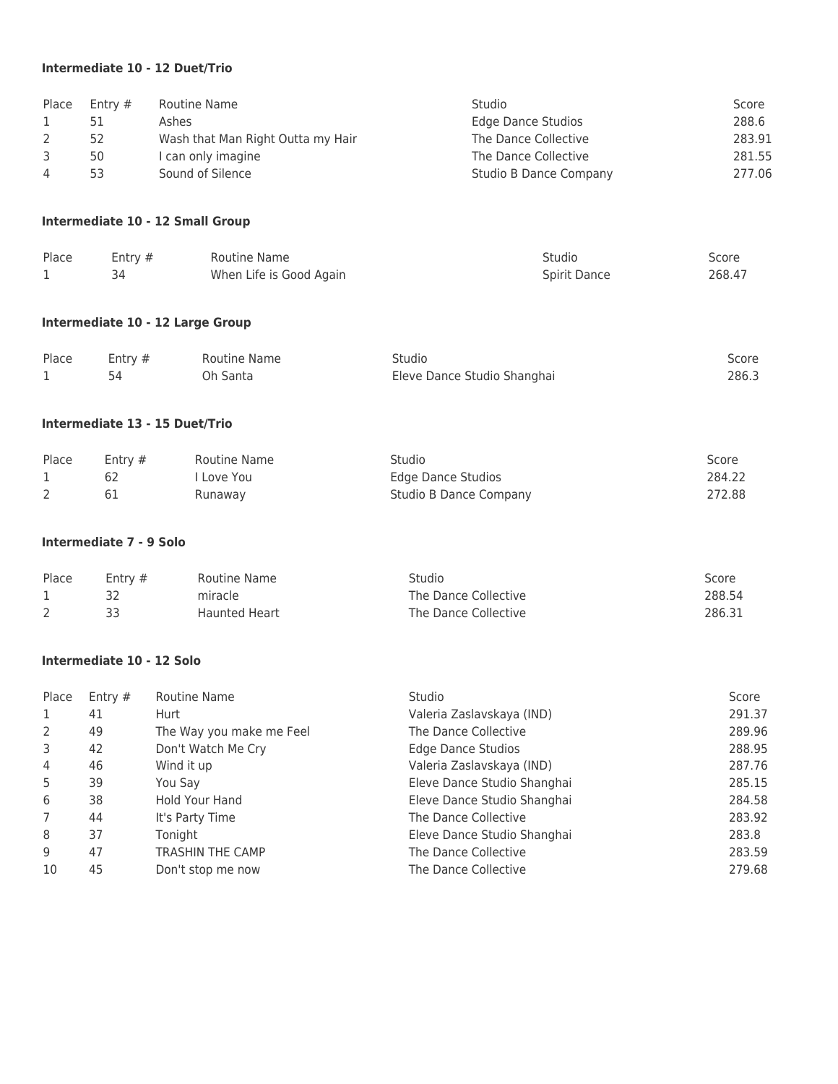## **Intermediate 10 - 12 Duet/Trio**

| Place Entry # | Routine Name                      | Studio                 | Score  |
|---------------|-----------------------------------|------------------------|--------|
| 51            | Ashes                             | Edge Dance Studios     | 288.6  |
| 52            | Wash that Man Right Outta my Hair | The Dance Collective   | 283.91 |
| 50            | I can only imagine                | The Dance Collective   | 281.55 |
| 53            | Sound of Silence                  | Studio B Dance Company | 277.06 |

### **Intermediate 10 - 12 Small Group**

| Place | Entry $#$ | Routine Name            | Studio       | Score  |
|-------|-----------|-------------------------|--------------|--------|
|       |           | When Life is Good Again | Spirit Dance | 268.47 |

# **Intermediate 10 - 12 Large Group**

| Place | Entry $#$ | Routine Name | Studio                      | Score |
|-------|-----------|--------------|-----------------------------|-------|
|       |           | Oh Santa     | Eleve Dance Studio Shanghai | 286.3 |

#### **Intermediate 13 - 15 Duet/Trio**

| Place | Entry $#$ | Routine Name | Studio                 | Score  |
|-------|-----------|--------------|------------------------|--------|
|       |           | Love You     | Edge Dance Studios     | 284.22 |
|       |           | Runaway      | Studio B Dance Company | 272.88 |

## **Intermediate 7 - 9 Solo**

| Place | Entry $#$ | Routine Name  | Studio               | Score  |
|-------|-----------|---------------|----------------------|--------|
|       |           | miracle       | The Dance Collective | 288.54 |
|       |           | Haunted Heart | The Dance Collective | 286.31 |

### **Intermediate 10 - 12 Solo**

| Place          | Entry $#$ | Routine Name             | <b>Studio</b>               | Score  |
|----------------|-----------|--------------------------|-----------------------------|--------|
| 1              | 41        | Hurt                     | Valeria Zaslavskaya (IND)   | 291.37 |
| 2              | 49        | The Way you make me Feel | The Dance Collective        | 289.96 |
| 3              | 42        | Don't Watch Me Cry       | Edge Dance Studios          | 288.95 |
| $\overline{4}$ | 46        | Wind it up               | Valeria Zaslavskaya (IND)   | 287.76 |
| 5              | 39        | You Say                  | Eleve Dance Studio Shanghai | 285.15 |
| 6              | 38        | Hold Your Hand           | Eleve Dance Studio Shanghai | 284.58 |
| 7              | 44        | It's Party Time          | The Dance Collective        | 283.92 |
| 8              | 37        | Toniaht                  | Eleve Dance Studio Shanghai | 283.8  |
| 9              | 47        | <b>TRASHIN THE CAMP</b>  | The Dance Collective        | 283.59 |
| 10             | 45        | Don't stop me now        | The Dance Collective        | 279.68 |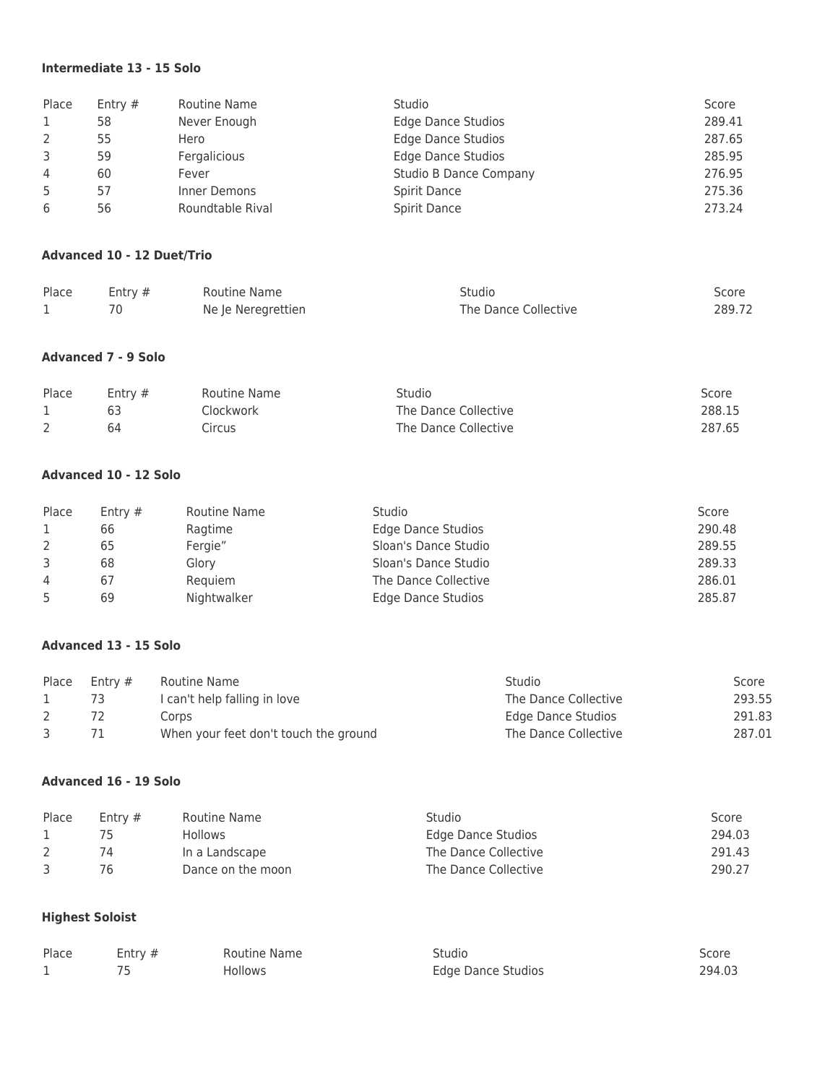## **Intermediate 13 - 15 Solo**

| Place | Entry $#$ | Routine Name     | Studio                        | Score  |
|-------|-----------|------------------|-------------------------------|--------|
|       | 58        | Never Enough     | <b>Edge Dance Studios</b>     | 289.41 |
|       | 55        | Hero             | <b>Edge Dance Studios</b>     | 287.65 |
| 3     | 59        | Fergalicious     | <b>Edge Dance Studios</b>     | 285.95 |
| 4     | 60        | Fever            | <b>Studio B Dance Company</b> | 276.95 |
| -5    | 57        | Inner Demons     | Spirit Dance                  | 275.36 |
| 6     | 56        | Roundtable Rival | Spirit Dance                  | 273.24 |

#### **Advanced 10 - 12 Duet/Trio**

| Place | Entry $#$ | Routine Name       | Studio               | Score  |
|-------|-----------|--------------------|----------------------|--------|
|       |           | Ne le Neregrettien | The Dance Collective | 289.72 |

## **Advanced 7 - 9 Solo**

| Place | Entry $#$ | Routine Name | Studio               | Score  |
|-------|-----------|--------------|----------------------|--------|
|       |           | Clockwork    | The Dance Collective | 288.15 |
|       | 64        | Circus       | The Dance Collective | 287.65 |

# **Advanced 10 - 12 Solo**

| Place          | Entry $#$ | Routine Name | Studio                    | Score  |
|----------------|-----------|--------------|---------------------------|--------|
|                | 66        | Ragtime      | Edge Dance Studios        | 290.48 |
|                | 65        | Fergie"      | Sloan's Dance Studio      | 289.55 |
| 3              | 68        | Glory        | Sloan's Dance Studio      | 289.33 |
| $\overline{4}$ | 67        | Requiem      | The Dance Collective      | 286.01 |
|                | 69        | Nightwalker  | <b>Edge Dance Studios</b> | 285.87 |

### **Advanced 13 - 15 Solo**

| Place | Entry $#$ | Routine Name                          | Studio               | Score  |
|-------|-----------|---------------------------------------|----------------------|--------|
|       | 73        | I can't help falling in love          | The Dance Collective | 293.55 |
|       |           | Corps                                 | Edge Dance Studios   | 291.83 |
|       |           | When your feet don't touch the ground | The Dance Collective | 287.01 |

### **Advanced 16 - 19 Solo**

| Place | Entry $#$ | Routine Name      | Studio               | Score  |
|-------|-----------|-------------------|----------------------|--------|
|       |           | <b>Hollows</b>    | Edge Dance Studios   | 294.03 |
|       | 74        | In a Landscape    | The Dance Collective | 291.43 |
|       | 76.       | Dance on the moon | The Dance Collective | 290.27 |

# **Highest Soloist**

| Place | Entry $#$ | Routine Name | Studio                    | Score  |
|-------|-----------|--------------|---------------------------|--------|
|       |           | Hollows      | <b>Edge Dance Studios</b> | 294.03 |